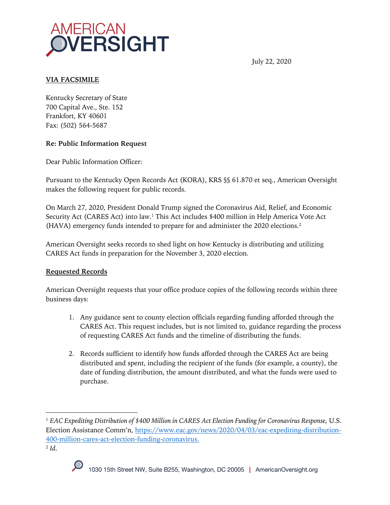

July 22, 2020

# **VIA FACSIMILE**

Kentucky Secretary of State 700 Capital Ave., Ste. 152 Frankfort, KY 40601 Fax: (502) 564-5687

# **Re: Public Information Request**

Dear Public Information Officer:

Pursuant to the Kentucky Open Records Act (KORA), KRS §§ 61.870 et seq., American Oversight makes the following request for public records.

On March 27, 2020, President Donald Trump signed the Coronavirus Aid, Relief, and Economic Security Act (CARES Act) into law.1 This Act includes \$400 million in Help America Vote Act (HAVA) emergency funds intended to prepare for and administer the 2020 elections.2

American Oversight seeks records to shed light on how Kentucky is distributing and utilizing CARES Act funds in preparation for the November 3, 2020 election.

# **Requested Records**

American Oversight requests that your office produce copies of the following records within three business days:

- 1. Any guidance sent to county election officials regarding funding afforded through the CARES Act. This request includes, but is not limited to, guidance regarding the process of requesting CARES Act funds and the timeline of distributing the funds.
- 2. Records sufficient to identify how funds afforded through the CARES Act are being distributed and spent, including the recipient of the funds (for example, a county), the date of funding distribution, the amount distributed, and what the funds were used to purchase.

<sup>2</sup> *Id*.



<sup>1</sup> *EAC Expediting Distribution of \$400 Million in CARES Act Election Funding for Coronavirus Response*, U.S. Election Assistance Comm'n, https://www.eac.gov/news/2020/04/03/eac-expediting-distribution-400-million-cares-act-election-funding-coronavirus.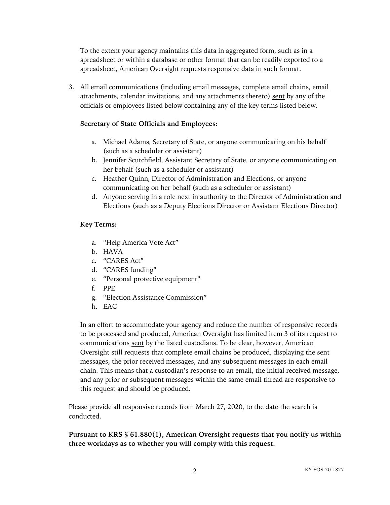To the extent your agency maintains this data in aggregated form, such as in a spreadsheet or within a database or other format that can be readily exported to a spreadsheet, American Oversight requests responsive data in such format.

3. All email communications (including email messages, complete email chains, email attachments, calendar invitations, and any attachments thereto) sent by any of the officials or employees listed below containing any of the key terms listed below.

#### **Secretary of State Officials and Employees:**

- a. Michael Adams, Secretary of State, or anyone communicating on his behalf (such as a scheduler or assistant)
- b. Jennifer Scutchfield, Assistant Secretary of State, or anyone communicating on her behalf (such as a scheduler or assistant)
- c. Heather Quinn, Director of Administration and Elections, or anyone communicating on her behalf (such as a scheduler or assistant)
- d. Anyone serving in a role next in authority to the Director of Administration and Elections (such as a Deputy Elections Director or Assistant Elections Director)

## **Key Terms:**

- a. "Help America Vote Act"
- b. HAVA
- c. "CARES Act"
- d. "CARES funding"
- e. "Personal protective equipment"
- f. PPE
- g. "Election Assistance Commission"
- h. EAC

In an effort to accommodate your agency and reduce the number of responsive records to be processed and produced, American Oversight has limited item 3 of its request to communications sent by the listed custodians. To be clear, however, American Oversight still requests that complete email chains be produced, displaying the sent messages, the prior received messages, and any subsequent messages in each email chain. This means that a custodian's response to an email, the initial received message, and any prior or subsequent messages within the same email thread are responsive to this request and should be produced.

Please provide all responsive records from March 27, 2020, to the date the search is conducted.

**Pursuant to KRS § 61.880(1), American Oversight requests that you notify us within three workdays as to whether you will comply with this request.**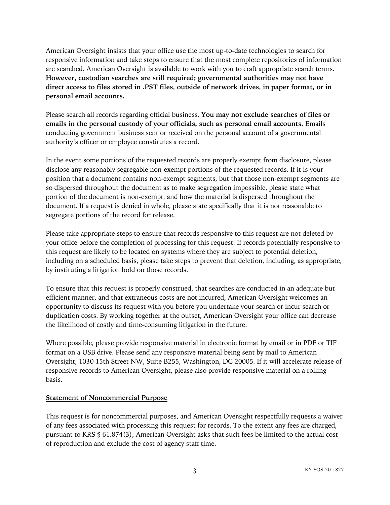American Oversight insists that your office use the most up-to-date technologies to search for responsive information and take steps to ensure that the most complete repositories of information are searched. American Oversight is available to work with you to craft appropriate search terms. **However, custodian searches are still required; governmental authorities may not have direct access to files stored in .PST files, outside of network drives, in paper format, or in personal email accounts.**

Please search all records regarding official business. **You may not exclude searches of files or emails in the personal custody of your officials, such as personal email accounts.** Emails conducting government business sent or received on the personal account of a governmental authority's officer or employee constitutes a record.

In the event some portions of the requested records are properly exempt from disclosure, please disclose any reasonably segregable non-exempt portions of the requested records. If it is your position that a document contains non-exempt segments, but that those non-exempt segments are so dispersed throughout the document as to make segregation impossible, please state what portion of the document is non-exempt, and how the material is dispersed throughout the document. If a request is denied in whole, please state specifically that it is not reasonable to segregate portions of the record for release.

Please take appropriate steps to ensure that records responsive to this request are not deleted by your office before the completion of processing for this request. If records potentially responsive to this request are likely to be located on systems where they are subject to potential deletion, including on a scheduled basis, please take steps to prevent that deletion, including, as appropriate, by instituting a litigation hold on those records.

To ensure that this request is properly construed, that searches are conducted in an adequate but efficient manner, and that extraneous costs are not incurred, American Oversight welcomes an opportunity to discuss its request with you before you undertake your search or incur search or duplication costs. By working together at the outset, American Oversight your office can decrease the likelihood of costly and time-consuming litigation in the future.

Where possible, please provide responsive material in electronic format by email or in PDF or TIF format on a USB drive. Please send any responsive material being sent by mail to American Oversight, 1030 15th Street NW, Suite B255, Washington, DC 20005. If it will accelerate release of responsive records to American Oversight, please also provide responsive material on a rolling basis.

## **Statement of Noncommercial Purpose**

This request is for noncommercial purposes, and American Oversight respectfully requests a waiver of any fees associated with processing this request for records. To the extent any fees are charged, pursuant to KRS § 61.874(3), American Oversight asks that such fees be limited to the actual cost of reproduction and exclude the cost of agency staff time.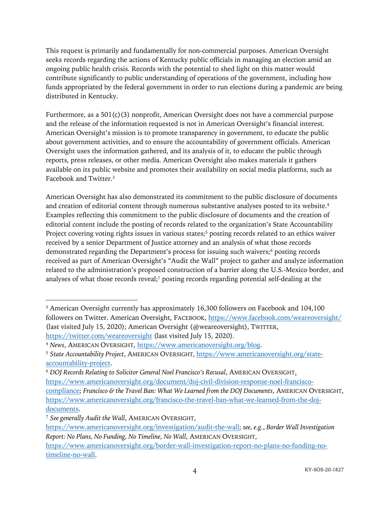This request is primarily and fundamentally for non-commercial purposes. American Oversight seeks records regarding the actions of Kentucky public officials in managing an election amid an ongoing public health crisis. Records with the potential to shed light on this matter would contribute significantly to public understanding of operations of the government, including how funds appropriated by the federal government in order to run elections during a pandemic are being distributed in Kentucky.

Furthermore, as a  $501(c)(3)$  nonprofit, American Oversight does not have a commercial purpose and the release of the information requested is not in American Oversight's financial interest. American Oversight's mission is to promote transparency in government, to educate the public about government activities, and to ensure the accountability of government officials. American Oversight uses the information gathered, and its analysis of it, to educate the public through reports, press releases, or other media. American Oversight also makes materials it gathers available on its public website and promotes their availability on social media platforms, such as Facebook and Twitter.3

American Oversight has also demonstrated its commitment to the public disclosure of documents and creation of editorial content through numerous substantive analyses posted to its website.<sup>4</sup> Examples reflecting this commitment to the public disclosure of documents and the creation of editorial content include the posting of records related to the organization's State Accountability Project covering voting rights issues in various states;<sup>5</sup> posting records related to an ethics waiver received by a senior Department of Justice attorney and an analysis of what those records demonstrated regarding the Department's process for issuing such waivers;<sup>6</sup> posting records received as part of American Oversight's "Audit the Wall" project to gather and analyze information related to the administration's proposed construction of a barrier along the U.S.-Mexico border, and analyses of what those records reveal;7 posting records regarding potential self-dealing at the

documents.

<sup>&</sup>lt;sup>3</sup> American Oversight currently has approximately 16,300 followers on Facebook and 104,100 followers on Twitter. American Oversight, FACEBOOK, https://www.facebook.com/weareoversight/ (last visited July 15, 2020); American Oversight (@weareoversight), TWITTER, https://twitter.com/weareoversight (last visited July 15, 2020).

<sup>4</sup> *News*, AMERICAN OVERSIGHT, https://www.americanoversight.org/blog.

<sup>5</sup> *State Accountability Project*, AMERICAN OVERSIGHT, https://www.americanoversight.org/stateaccountability-project.

<sup>6</sup> *DOJ Records Relating to Solicitor General Noel Francisco's Recusal*, AMERICAN OVERSIGHT, https://www.americanoversight.org/document/doj-civil-division-response-noel-franciscocompliance; *Francisco & the Travel Ban: What We Learned from the DOJ Documents*, AMERICAN OVERSIGHT, https://www.americanoversight.org/francisco-the-travel-ban-what-we-learned-from-the-doj-

<sup>7</sup> *See generally Audit the Wall*, AMERICAN OVERSIGHT,

https://www.americanoversight.org/investigation/audit-the-wall; *see, e.g.*, *Border Wall Investigation Report: No Plans, No Funding, No Timeline, No Wall*, AMERICAN OVERSIGHT,

https://www.americanoversight.org/border-wall-investigation-report-no-plans-no-funding-notimeline-no-wall.